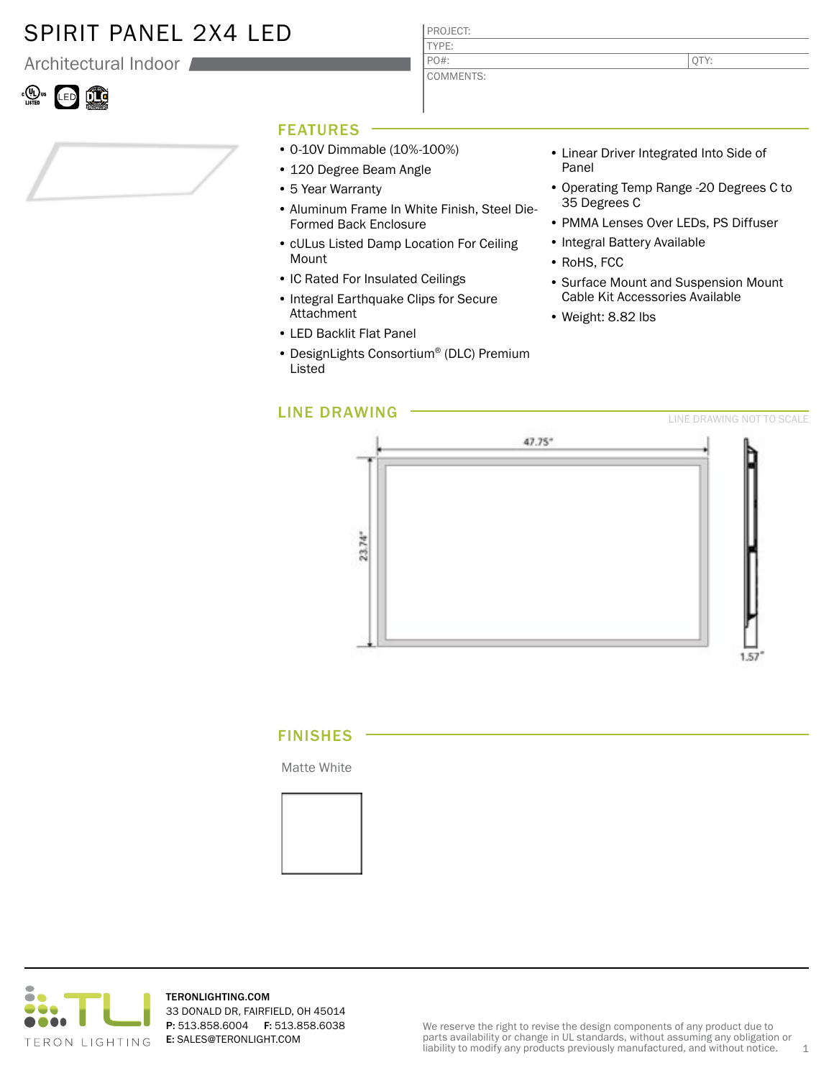# SPIRIT PANEL 2X4 LED

Architectural Indoor

### .<br>LED ÛÛ

#### PROJECT: TYPE: COMMENTS: PO#:

QTY:

## FEATURES

- 0-10V Dimmable (10%-100%)
- 120 Degree Beam Angle
- 5 Year Warranty
- Aluminum Frame In White Finish, Steel Die-Formed Back Enclosure
- cULus Listed Damp Location For Ceiling Mount
- IC Rated For Insulated Ceilings
- Integral Earthquake Clips for Secure Attachment
- LED Backlit Flat Panel
- DesignLights Consortium® (DLC) Premium Listed
- Linear Driver Integrated Into Side of Panel
- Operating Temp Range -20 Degrees C to 35 Degrees C
- PMMA Lenses Over LEDs, PS Diffuser
- Integral Battery Available
- RoHS, FCC
- Surface Mount and Suspension Mount Cable Kit Accessories Available
- Weight: 8.82 lbs



### FINISHES

Matte White





TERONLIGHTING.COM 33 DONALD DR, FAIRFIELD, OH 45014 P: 513.858.6004 F: 513.858.6038 E: SALES@TERONLIGHT.COM